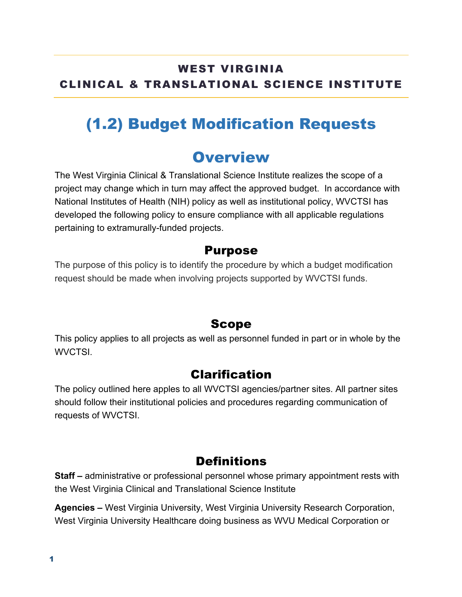#### WEST VIRGINIA CLINICAL & TRANSLATIONAL SCIENCE INSTITUTE

## (1.2) Budget Modification Requests

### **Overview**

The West Virginia Clinical & Translational Science Institute realizes the scope of a project may change which in turn may affect the approved budget. In accordance with National Institutes of Health (NIH) policy as well as institutional policy, WVCTSI has developed the following policy to ensure compliance with all applicable regulations pertaining to extramurally-funded projects.

#### Purpose

The purpose of this policy is to identify the procedure by which a budget modification request should be made when involving projects supported by WVCTSI funds.

#### Scope

This policy applies to all projects as well as personnel funded in part or in whole by the WVCTSI.

#### Clarification

The policy outlined here apples to all WVCTSI agencies/partner sites. All partner sites should follow their institutional policies and procedures regarding communication of requests of WVCTSI.

#### **Definitions**

**Staff –** administrative or professional personnel whose primary appointment rests with the West Virginia Clinical and Translational Science Institute

**Agencies –** West Virginia University, West Virginia University Research Corporation, West Virginia University Healthcare doing business as WVU Medical Corporation or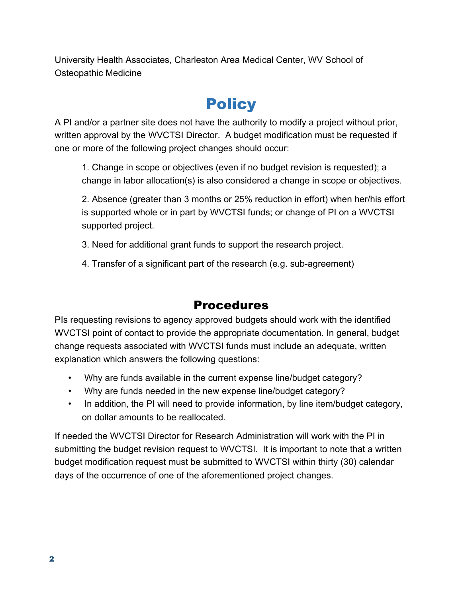University Health Associates, Charleston Area Medical Center, WV School of Osteopathic Medicine

# **Policy**

A PI and/or a partner site does not have the authority to modify a project without prior, written approval by the WVCTSI Director. A budget modification must be requested if one or more of the following project changes should occur:

1. Change in scope or objectives (even if no budget revision is requested); a change in labor allocation(s) is also considered a change in scope or objectives.

2. Absence (greater than 3 months or 25% reduction in effort) when her/his effort is supported whole or in part by WVCTSI funds; or change of PI on a WVCTSI supported project.

- 3. Need for additional grant funds to support the research project.
- 4. Transfer of a significant part of the research (e.g. sub-agreement)

### **Procedures**

PIs requesting revisions to agency approved budgets should work with the identified WVCTSI point of contact to provide the appropriate documentation. In general, budget change requests associated with WVCTSI funds must include an adequate, written explanation which answers the following questions:

- Why are funds available in the current expense line/budget category?
- Why are funds needed in the new expense line/budget category?
- In addition, the PI will need to provide information, by line item/budget category, on dollar amounts to be reallocated.

If needed the WVCTSI Director for Research Administration will work with the PI in submitting the budget revision request to WVCTSI. It is important to note that a written budget modification request must be submitted to WVCTSI within thirty (30) calendar days of the occurrence of one of the aforementioned project changes.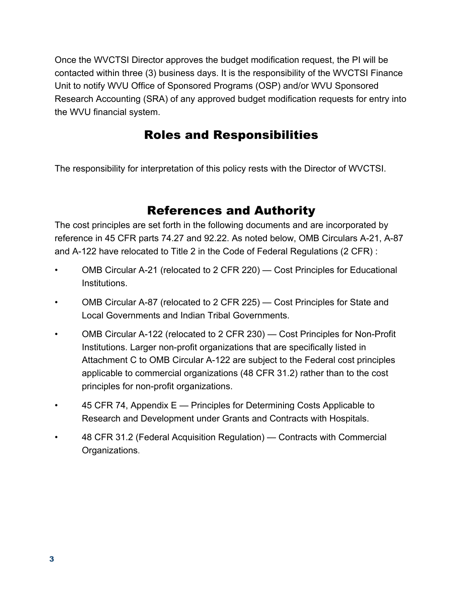Once the WVCTSI Director approves the budget modification request, the PI will be contacted within three (3) business days. It is the responsibility of the WVCTSI Finance Unit to notify WVU Office of Sponsored Programs (OSP) and/or WVU Sponsored Research Accounting (SRA) of any approved budget modification requests for entry into the WVU financial system.

### Roles and Responsibilities

The responsibility for interpretation of this policy rests with the Director of WVCTSI.

### References and Authority

The cost principles are set forth in the following documents and are incorporated by reference in 45 CFR parts 74.27 and 92.22. As noted below, OMB Circulars A-21, A-87 and A-122 have relocated to Title 2 in the Code of Federal Regulations (2 CFR) :

- OMB Circular A-21 (relocated to 2 CFR 220) Cost Principles for Educational Institutions.
- OMB Circular A-87 (relocated to 2 CFR 225) Cost Principles for State and Local Governments and Indian Tribal Governments.
- OMB Circular A-122 (relocated to 2 CFR 230) Cost Principles for Non-Profit Institutions. Larger non-profit organizations that are specifically listed in Attachment C to OMB Circular A-122 are subject to the Federal cost principles applicable to commercial organizations (48 CFR 31.2) rather than to the cost principles for non-profit organizations.
- 45 CFR 74, Appendix E Principles for Determining Costs Applicable to Research and Development under Grants and Contracts with Hospitals.
- 48 CFR 31.2 (Federal Acquisition Regulation) Contracts with Commercial Organizations.